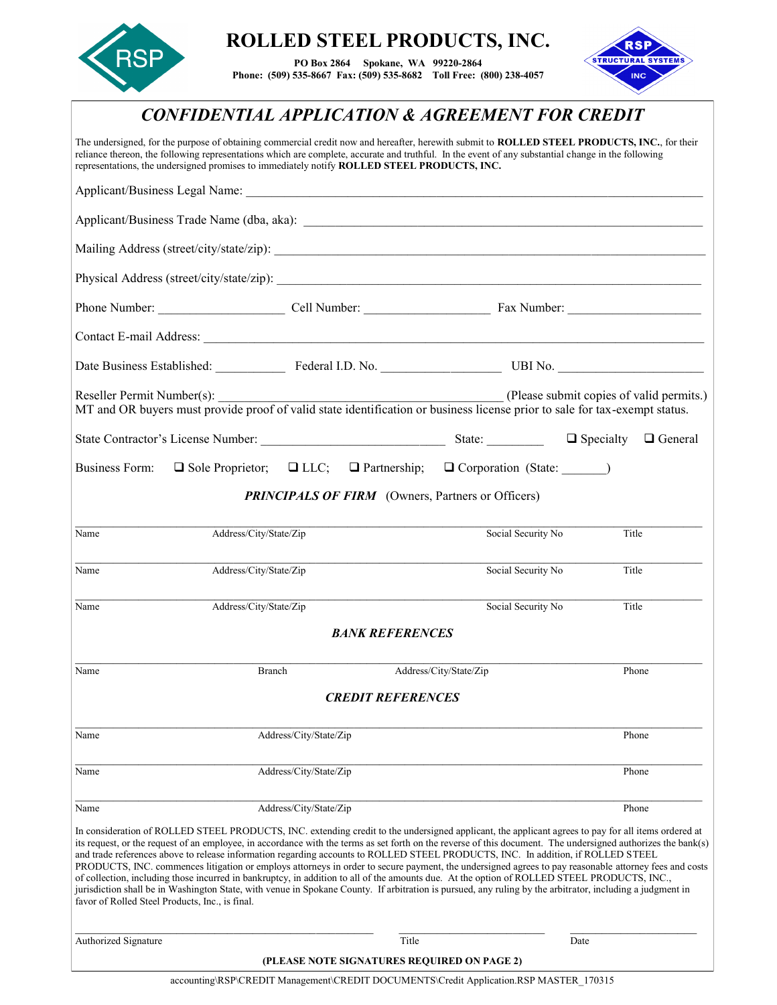

# **ROLLED STEEL PRODUCTS, INC.**

**PO Box 2864 Spokane, WA 99220-2864 Phone: (509) 535-8667 Fax: (509) 535-8682 Toll Free: (800) 238-4057**



### *CONFIDENTIAL APPLICATION & AGREEMENT FOR CREDIT*

The undersigned, for the purpose of obtaining commercial credit now and hereafter, herewith submit to **ROLLED STEEL PRODUCTS, INC.**, for their reliance thereon, the following representations which are complete, accurate and truthful. In the event of any substantial change in the following representations, the undersigned promises to immediately notify **ROLLED STEEL PRODUCTS, INC.**

| Reseller Permit Number(s):<br>MT and OR buyers must provide proof of valid state identification or business license prior to sale for tax-exempt status.                                                                                                                                                                                                                                                                                                                                                                                                                                                                                                                                                                                                                                                                                                                                                                                                                         |                                                          | (Please submit copies of valid permits.)                                                    |       |
|----------------------------------------------------------------------------------------------------------------------------------------------------------------------------------------------------------------------------------------------------------------------------------------------------------------------------------------------------------------------------------------------------------------------------------------------------------------------------------------------------------------------------------------------------------------------------------------------------------------------------------------------------------------------------------------------------------------------------------------------------------------------------------------------------------------------------------------------------------------------------------------------------------------------------------------------------------------------------------|----------------------------------------------------------|---------------------------------------------------------------------------------------------|-------|
|                                                                                                                                                                                                                                                                                                                                                                                                                                                                                                                                                                                                                                                                                                                                                                                                                                                                                                                                                                                  |                                                          |                                                                                             |       |
| <b>Business Form:</b>                                                                                                                                                                                                                                                                                                                                                                                                                                                                                                                                                                                                                                                                                                                                                                                                                                                                                                                                                            |                                                          | $\Box$ Sole Proprietor; $\Box$ LLC; $\Box$ Partnership; $\Box$ Corporation (State: $\Box$ ) |       |
|                                                                                                                                                                                                                                                                                                                                                                                                                                                                                                                                                                                                                                                                                                                                                                                                                                                                                                                                                                                  | <b>PRINCIPALS OF FIRM</b> (Owners, Partners or Officers) |                                                                                             |       |
| Name<br>Address/City/State/Zip                                                                                                                                                                                                                                                                                                                                                                                                                                                                                                                                                                                                                                                                                                                                                                                                                                                                                                                                                   |                                                          | Social Security No                                                                          | Title |
| Name<br>Address/City/State/Zip                                                                                                                                                                                                                                                                                                                                                                                                                                                                                                                                                                                                                                                                                                                                                                                                                                                                                                                                                   |                                                          | Social Security No                                                                          | Title |
| Name<br>Address/City/State/Zip                                                                                                                                                                                                                                                                                                                                                                                                                                                                                                                                                                                                                                                                                                                                                                                                                                                                                                                                                   |                                                          | Social Security No                                                                          | Title |
|                                                                                                                                                                                                                                                                                                                                                                                                                                                                                                                                                                                                                                                                                                                                                                                                                                                                                                                                                                                  | <b>BANK REFERENCES</b>                                   |                                                                                             |       |
| Name<br><b>Branch</b>                                                                                                                                                                                                                                                                                                                                                                                                                                                                                                                                                                                                                                                                                                                                                                                                                                                                                                                                                            |                                                          | Address/City/State/Zip                                                                      | Phone |
|                                                                                                                                                                                                                                                                                                                                                                                                                                                                                                                                                                                                                                                                                                                                                                                                                                                                                                                                                                                  | <b>CREDIT REFERENCES</b>                                 |                                                                                             |       |
| Name                                                                                                                                                                                                                                                                                                                                                                                                                                                                                                                                                                                                                                                                                                                                                                                                                                                                                                                                                                             | Address/City/State/Zip                                   |                                                                                             | Phone |
| Name                                                                                                                                                                                                                                                                                                                                                                                                                                                                                                                                                                                                                                                                                                                                                                                                                                                                                                                                                                             | Address/City/State/Zip                                   |                                                                                             | Phone |
| Name                                                                                                                                                                                                                                                                                                                                                                                                                                                                                                                                                                                                                                                                                                                                                                                                                                                                                                                                                                             | Address/City/State/Zip                                   |                                                                                             | Phone |
| In consideration of ROLLED STEEL PRODUCTS, INC. extending credit to the undersigned applicant, the applicant agrees to pay for all items ordered at<br>its request, or the request of an employee, in accordance with the terms as set forth on the reverse of this document. The undersigned authorizes the bank(s)<br>and trade references above to release information regarding accounts to ROLLED STEEL PRODUCTS, INC. In addition, if ROLLED STEEL<br>PRODUCTS, INC. commences litigation or employs attorneys in order to secure payment, the undersigned agrees to pay reasonable attorney fees and costs<br>of collection, including those incurred in bankruptcy, in addition to all of the amounts due. At the option of ROLLED STEEL PRODUCTS, INC.,<br>jurisdiction shall be in Washington State, with venue in Spokane County. If arbitration is pursued, any ruling by the arbitrator, including a judgment in<br>favor of Rolled Steel Products, Inc., is final. |                                                          |                                                                                             |       |
| Authorized Signature                                                                                                                                                                                                                                                                                                                                                                                                                                                                                                                                                                                                                                                                                                                                                                                                                                                                                                                                                             | Title                                                    | Date                                                                                        |       |
|                                                                                                                                                                                                                                                                                                                                                                                                                                                                                                                                                                                                                                                                                                                                                                                                                                                                                                                                                                                  | (PLEASE NOTE SIGNATURES REQUIRED ON PAGE 2)              |                                                                                             |       |